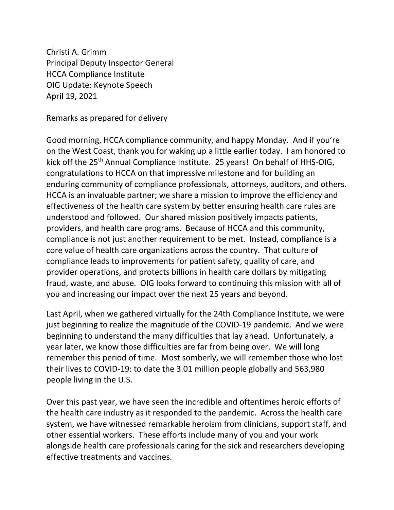Christi A. Grimm Principal Deputy Inspector General HCCA Compliance Institute OIG Update: Keynote Speech April 19, 2021

Remarks as prepared for delivery

Good morning, HCCA compliance community, and happy Monday. And if you're on the West Coast, thank you for waking up a little earlier today. I am honored to kick off the 25<sup>th</sup> Annual Compliance Institute. 25 years! On behalf of HHS-OIG, congratulations to HCCA on that impressive milestone and for building an enduring community of compliance professionals, attorneys, auditors, and others. HCCA is an invaluable partner; we share a mission to improve the efficiency and effectiveness of the health care system by better ensuring health care rules are understood and followed. Our shared mission positively impacts patients, providers, and health care programs. Because of HCCA and this community, compliance is not just another requirement to be met. Instead, compliance is a core value of health care organizations across the country. That culture of compliance leads to improvements for patient safety, quality of care, and provider operations, and protects billions in health care dollars by mitigating fraud, waste, and abuse. OIG looks forward to continuing this mission with all of you and increasing our impact over the next 25 years and beyond.

Last April, when we gathered virtually for the 24th Compliance Institute, we were just beginning to realize the magnitude of the COVID-19 pandemic. And we were beginning to understand the many difficulties that lay ahead. Unfortunately, a year later, we know those difficulties are far from being over. We will long remember this period of time. Most somberly, we will remember those who lost their lives to COVID-19: to date the 3.01 million people globally and 563,980 people living in the U.S.

Over this past year, we have seen the incredible and oftentimes heroic efforts of the health care industry as it responded to the pandemic. Across the health care system, we have witnessed remarkable heroism from clinicians, support staff, and other essential workers. These efforts include many of you and your work alongside health care professionals caring for the sick and researchers developing effective treatments and vaccines.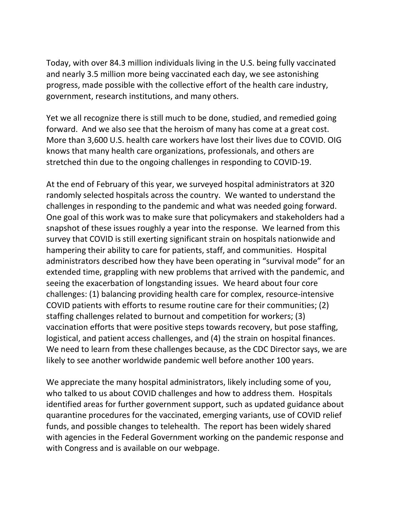Today, with over 84.3 million individuals living in the U.S. being fully vaccinated and nearly 3.5 million more being vaccinated each day, we see astonishing progress, made possible with the collective effort of the health care industry, government, research institutions, and many others.

Yet we all recognize there is still much to be done, studied, and remedied going forward. And we also see that the heroism of many has come at a great cost. More than 3,600 U.S. health care workers have lost their lives due to COVID. OIG knows that many health care organizations, professionals, and others are stretched thin due to the ongoing challenges in responding to COVID-19.

At the end of February of this year, we surveyed hospital administrators at 320 randomly selected hospitals across the country. We wanted to understand the challenges in responding to the pandemic and what was needed going forward. One goal of this work was to make sure that policymakers and stakeholders had a snapshot of these issues roughly a year into the response. We learned from this survey that COVID is still exerting significant strain on hospitals nationwide and hampering their ability to care for patients, staff, and communities. Hospital administrators described how they have been operating in "survival mode" for an extended time, grappling with new problems that arrived with the pandemic, and seeing the exacerbation of longstanding issues. We heard about four core challenges: (1) balancing providing health care for complex, resource-intensive COVID patients with efforts to resume routine care for their communities; (2) staffing challenges related to burnout and competition for workers; (3) vaccination efforts that were positive steps towards recovery, but pose staffing, logistical, and patient access challenges, and (4) the strain on hospital finances. We need to learn from these challenges because, as the CDC Director says, we are likely to see another worldwide pandemic well before another 100 years.

We appreciate the many hospital administrators, likely including some of you, who talked to us about COVID challenges and how to address them. Hospitals identified areas for further government support, such as updated guidance about quarantine procedures for the vaccinated, emerging variants, use of COVID relief funds, and possible changes to telehealth. The report has been widely shared with agencies in the Federal Government working on the pandemic response and with Congress and is available on our webpage.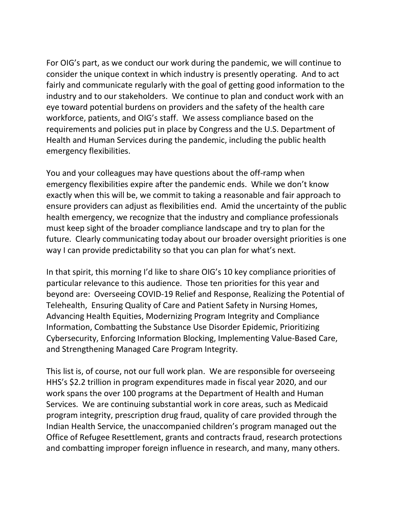For OIG's part, as we conduct our work during the pandemic, we will continue to consider the unique context in which industry is presently operating. And to act fairly and communicate regularly with the goal of getting good information to the industry and to our stakeholders. We continue to plan and conduct work with an eye toward potential burdens on providers and the safety of the health care workforce, patients, and OIG's staff. We assess compliance based on the requirements and policies put in place by Congress and the U.S. Department of Health and Human Services during the pandemic, including the public health emergency flexibilities.

You and your colleagues may have questions about the off-ramp when emergency flexibilities expire after the pandemic ends. While we don't know exactly when this will be, we commit to taking a reasonable and fair approach to ensure providers can adjust as flexibilities end. Amid the uncertainty of the public health emergency, we recognize that the industry and compliance professionals must keep sight of the broader compliance landscape and try to plan for the future. Clearly communicating today about our broader oversight priorities is one way I can provide predictability so that you can plan for what's next.

In that spirit, this morning I'd like to share OIG's 10 key compliance priorities of particular relevance to this audience. Those ten priorities for this year and beyond are: Overseeing COVID-19 Relief and Response, Realizing the Potential of Telehealth, Ensuring Quality of Care and Patient Safety in Nursing Homes, Advancing Health Equities, Modernizing Program Integrity and Compliance Information, Combatting the Substance Use Disorder Epidemic, Prioritizing Cybersecurity, Enforcing Information Blocking, Implementing Value-Based Care, and Strengthening Managed Care Program Integrity.

This list is, of course, not our full work plan. We are responsible for overseeing HHS's \$2.2 trillion in program expenditures made in fiscal year 2020, and our work spans the over 100 programs at the Department of Health and Human Services. We are continuing substantial work in core areas, such as Medicaid program integrity, prescription drug fraud, quality of care provided through the Indian Health Service, the unaccompanied children's program managed out the Office of Refugee Resettlement, grants and contracts fraud, research protections and combatting improper foreign influence in research, and many, many others.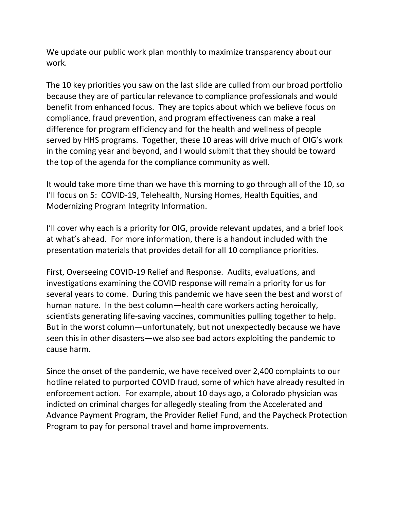We update our public work plan monthly to maximize transparency about our work.

The 10 key priorities you saw on the last slide are culled from our broad portfolio because they are of particular relevance to compliance professionals and would benefit from enhanced focus. They are topics about which we believe focus on compliance, fraud prevention, and program effectiveness can make a real difference for program efficiency and for the health and wellness of people served by HHS programs. Together, these 10 areas will drive much of OIG's work in the coming year and beyond, and I would submit that they should be toward the top of the agenda for the compliance community as well.

It would take more time than we have this morning to go through all of the 10, so I'll focus on 5: COVID-19, Telehealth, Nursing Homes, Health Equities, and Modernizing Program Integrity Information.

I'll cover why each is a priority for OIG, provide relevant updates, and a brief look at what's ahead. For more information, there is a handout included with the presentation materials that provides detail for all 10 compliance priorities.

First, Overseeing COVID-19 Relief and Response. Audits, evaluations, and investigations examining the COVID response will remain a priority for us for several years to come. During this pandemic we have seen the best and worst of human nature. In the best column—health care workers acting heroically, scientists generating life-saving vaccines, communities pulling together to help. But in the worst column—unfortunately, but not unexpectedly because we have seen this in other disasters—we also see bad actors exploiting the pandemic to cause harm.

Since the onset of the pandemic, we have received over 2,400 complaints to our hotline related to purported COVID fraud, some of which have already resulted in enforcement action. For example, about 10 days ago, a Colorado physician was indicted on criminal charges for allegedly stealing from the Accelerated and Advance Payment Program, the Provider Relief Fund, and the Paycheck Protection Program to pay for personal travel and home improvements.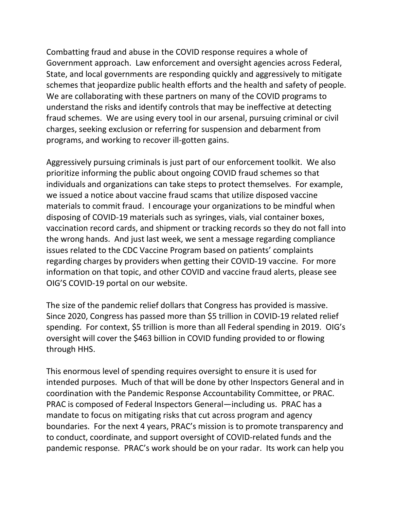Combatting fraud and abuse in the COVID response requires a whole of Government approach. Law enforcement and oversight agencies across Federal, State, and local governments are responding quickly and aggressively to mitigate schemes that jeopardize public health efforts and the health and safety of people. We are collaborating with these partners on many of the COVID programs to understand the risks and identify controls that may be ineffective at detecting fraud schemes. We are using every tool in our arsenal, pursuing criminal or civil charges, seeking exclusion or referring for suspension and debarment from programs, and working to recover ill-gotten gains.

Aggressively pursuing criminals is just part of our enforcement toolkit. We also prioritize informing the public about ongoing COVID fraud schemes so that individuals and organizations can take steps to protect themselves. For example, we issued a notice about vaccine fraud scams that utilize disposed vaccine materials to commit fraud. I encourage your organizations to be mindful when disposing of COVID-19 materials such as syringes, vials, vial container boxes, vaccination record cards, and shipment or tracking records so they do not fall into the wrong hands. And just last week, we sent a message regarding compliance issues related to the CDC Vaccine Program based on patients' complaints regarding charges by providers when getting their COVID-19 vaccine. For more information on that topic, and other COVID and vaccine fraud alerts, please see OIG'S COVID-19 portal on our website.

The size of the pandemic relief dollars that Congress has provided is massive. Since 2020, Congress has passed more than \$5 trillion in COVID-19 related relief spending. For context, \$5 trillion is more than all Federal spending in 2019. OIG's oversight will cover the \$463 billion in COVID funding provided to or flowing through HHS.

This enormous level of spending requires oversight to ensure it is used for intended purposes. Much of that will be done by other Inspectors General and in coordination with the Pandemic Response Accountability Committee, or PRAC. PRAC is composed of Federal Inspectors General—including us. PRAC has a mandate to focus on mitigating risks that cut across program and agency boundaries. For the next 4 years, PRAC's mission is to promote transparency and to conduct, coordinate, and support oversight of COVID-related funds and the pandemic response. PRAC's work should be on your radar. Its work can help you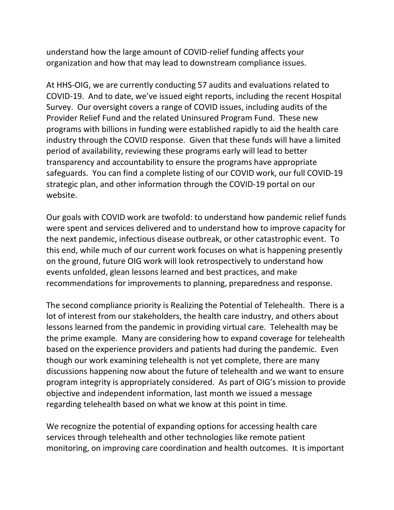understand how the large amount of COVID-relief funding affects your organization and how that may lead to downstream compliance issues.

At HHS-OIG, we are currently conducting 57 audits and evaluations related to COVID-19. And to date, we've issued eight reports, including the recent Hospital Survey. Our oversight covers a range of COVID issues, including audits of the Provider Relief Fund and the related Uninsured Program Fund. These new programs with billions in funding were established rapidly to aid the health care industry through the COVID response. Given that these funds will have a limited period of availability, reviewing these programs early will lead to better transparency and accountability to ensure the programs have appropriate safeguards. You can find a complete listing of our COVID work, our full COVID-19 strategic plan, and other information through the COVID-19 portal on our website.

Our goals with COVID work are twofold: to understand how pandemic relief funds were spent and services delivered and to understand how to improve capacity for the next pandemic, infectious disease outbreak, or other catastrophic event. To this end, while much of our current work focuses on what is happening presently on the ground, future OIG work will look retrospectively to understand how events unfolded, glean lessons learned and best practices, and make recommendations for improvements to planning, preparedness and response.

The second compliance priority is Realizing the Potential of Telehealth. There is a lot of interest from our stakeholders, the health care industry, and others about lessons learned from the pandemic in providing virtual care. Telehealth may be the prime example. Many are considering how to expand coverage for telehealth based on the experience providers and patients had during the pandemic. Even though our work examining telehealth is not yet complete, there are many discussions happening now about the future of telehealth and we want to ensure program integrity is appropriately considered. As part of OIG's mission to provide objective and independent information, last month we issued a message regarding telehealth based on what we know at this point in time.

We recognize the potential of expanding options for accessing health care services through telehealth and other technologies like remote patient monitoring, on improving care coordination and health outcomes. It is important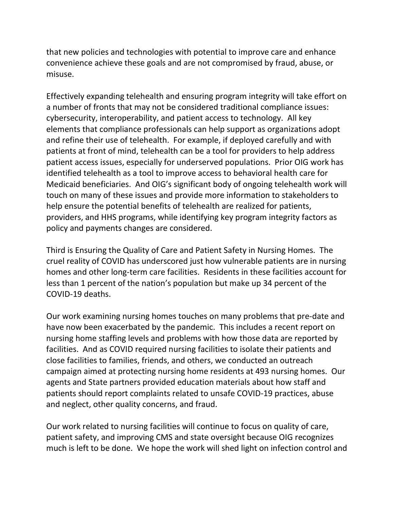that new policies and technologies with potential to improve care and enhance convenience achieve these goals and are not compromised by fraud, abuse, or misuse. 

Effectively expanding telehealth and ensuring program integrity will take effort on a number of fronts that may not be considered traditional compliance issues: cybersecurity, interoperability, and patient access to technology. All key elements that compliance professionals can help support as organizations adopt and refine their use of telehealth. For example, if deployed carefully and with patients at front of mind, telehealth can be a tool for providers to help address patient access issues, especially for underserved populations. Prior OIG work has identified telehealth as a tool to improve access to behavioral health care for Medicaid beneficiaries. And OIG's significant body of ongoing telehealth work will touch on many of these issues and provide more information to stakeholders to help ensure the potential benefits of telehealth are realized for patients, providers, and HHS programs, while identifying key program integrity factors as policy and payments changes are considered.

Third is Ensuring the Quality of Care and Patient Safety in Nursing Homes. The cruel reality of COVID has underscored just how vulnerable patients are in nursing homes and other long-term care facilities. Residents in these facilities account for less than 1 percent of the nation's population but make up 34 percent of the COVID-19 deaths.

Our work examining nursing homes touches on many problems that pre-date and have now been exacerbated by the pandemic. This includes a recent report on nursing home staffing levels and problems with how those data are reported by facilities. And as COVID required nursing facilities to isolate their patients and close facilities to families, friends, and others, we conducted an outreach campaign aimed at protecting nursing home residents at 493 nursing homes. Our agents and State partners provided education materials about how staff and patients should report complaints related to unsafe COVID-19 practices, abuse and neglect, other quality concerns, and fraud.

Our work related to nursing facilities will continue to focus on quality of care, patient safety, and improving CMS and state oversight because OIG recognizes much is left to be done. We hope the work will shed light on infection control and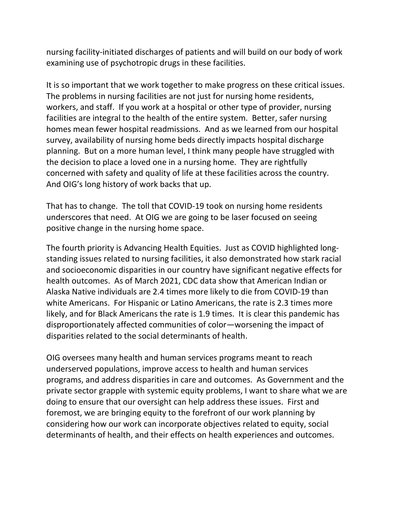nursing facility-initiated discharges of patients and will build on our body of work examining use of psychotropic drugs in these facilities.

It is so important that we work together to make progress on these critical issues. The problems in nursing facilities are not just for nursing home residents, workers, and staff. If you work at a hospital or other type of provider, nursing facilities are integral to the health of the entire system. Better, safer nursing homes mean fewer hospital readmissions. And as we learned from our hospital survey, availability of nursing home beds directly impacts hospital discharge planning. But on a more human level, I think many people have struggled with the decision to place a loved one in a nursing home. They are rightfully concerned with safety and quality of life at these facilities across the country. And OIG's long history of work backs that up.

That has to change. The toll that COVID-19 took on nursing home residents underscores that need. At OIG we are going to be laser focused on seeing positive change in the nursing home space.

The fourth priority is Advancing Health Equities. Just as COVID highlighted longstanding issues related to nursing facilities, it also demonstrated how stark racial and socioeconomic disparities in our country have significant negative effects for health outcomes. As of March 2021, CDC data show that American Indian or Alaska Native individuals are 2.4 times more likely to die from COVID-19 than white Americans. For Hispanic or Latino Americans, the rate is 2.3 times more likely, and for Black Americans the rate is 1.9 times. It is clear this pandemic has disproportionately affected communities of color—worsening the impact of disparities related to the social determinants of health.

OIG oversees many health and human services programs meant to reach underserved populations, improve access to health and human services programs, and address disparities in care and outcomes. As Government and the private sector grapple with systemic equity problems, I want to share what we are doing to ensure that our oversight can help address these issues. First and foremost, we are bringing equity to the forefront of our work planning by considering how our work can incorporate objectives related to equity, social determinants of health, and their effects on health experiences and outcomes.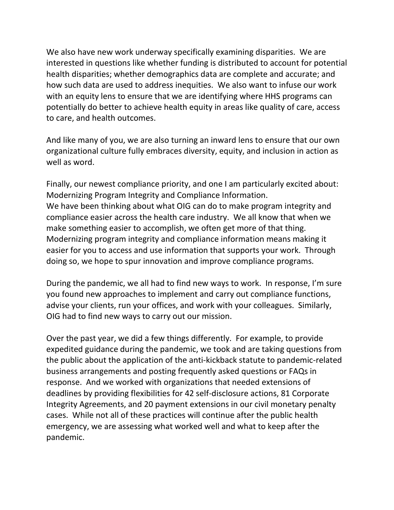We also have new work underway specifically examining disparities. We are interested in questions like whether funding is distributed to account for potential health disparities; whether demographics data are complete and accurate; and how such data are used to address inequities. We also want to infuse our work with an equity lens to ensure that we are identifying where HHS programs can potentially do better to achieve health equity in areas like quality of care, access to care, and health outcomes.

And like many of you, we are also turning an inward lens to ensure that our own organizational culture fully embraces diversity, equity, and inclusion in action as well as word.

Finally, our newest compliance priority, and one I am particularly excited about: Modernizing Program Integrity and Compliance Information. We have been thinking about what OIG can do to make program integrity and compliance easier across the health care industry. We all know that when we make something easier to accomplish, we often get more of that thing. Modernizing program integrity and compliance information means making it easier for you to access and use information that supports your work. Through doing so, we hope to spur innovation and improve compliance programs.

During the pandemic, we all had to find new ways to work. In response, I'm sure you found new approaches to implement and carry out compliance functions, advise your clients, run your offices, and work with your colleagues. Similarly, OIG had to find new ways to carry out our mission.

Over the past year, we did a few things differently. For example, to provide expedited guidance during the pandemic, we took and are taking questions from the public about the application of the anti-kickback statute to pandemic-related business arrangements and posting frequently asked questions or FAQs in response. And we worked with organizations that needed extensions of deadlines by providing flexibilities for 42 self-disclosure actions, 81 Corporate Integrity Agreements, and 20 payment extensions in our civil monetary penalty cases. While not all of these practices will continue after the public health emergency, we are assessing what worked well and what to keep after the pandemic.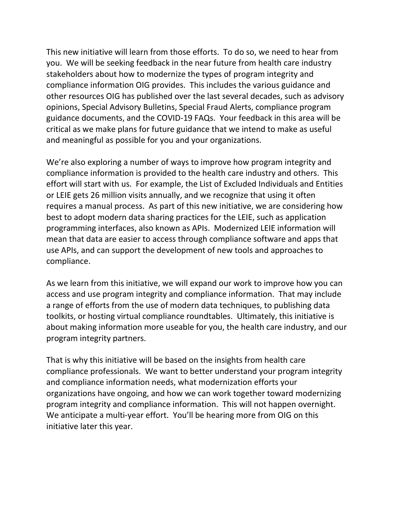This new initiative will learn from those efforts. To do so, we need to hear from you. We will be seeking feedback in the near future from health care industry stakeholders about how to modernize the types of program integrity and compliance information OIG provides. This includes the various guidance and other resources OIG has published over the last several decades, such as advisory opinions, Special Advisory Bulletins, Special Fraud Alerts, compliance program guidance documents, and the COVID-19 FAQs. Your feedback in this area will be critical as we make plans for future guidance that we intend to make as useful and meaningful as possible for you and your organizations.

We're also exploring a number of ways to improve how program integrity and compliance information is provided to the health care industry and others. This effort will start with us. For example, the List of Excluded Individuals and Entities or LEIE gets 26 million visits annually, and we recognize that using it often requires a manual process. As part of this new initiative, we are considering how best to adopt modern data sharing practices for the LEIE, such as application programming interfaces, also known as APIs. Modernized LEIE information will mean that data are easier to access through compliance software and apps that use APIs, and can support the development of new tools and approaches to compliance.

As we learn from this initiative, we will expand our work to improve how you can access and use program integrity and compliance information. That may include a range of efforts from the use of modern data techniques, to publishing data toolkits, or hosting virtual compliance roundtables. Ultimately, this initiative is about making information more useable for you, the health care industry, and our program integrity partners.

That is why this initiative will be based on the insights from health care compliance professionals. We want to better understand your program integrity and compliance information needs, what modernization efforts your organizations have ongoing, and how we can work together toward modernizing program integrity and compliance information. This will not happen overnight. We anticipate a multi-year effort. You'll be hearing more from OIG on this initiative later this year.